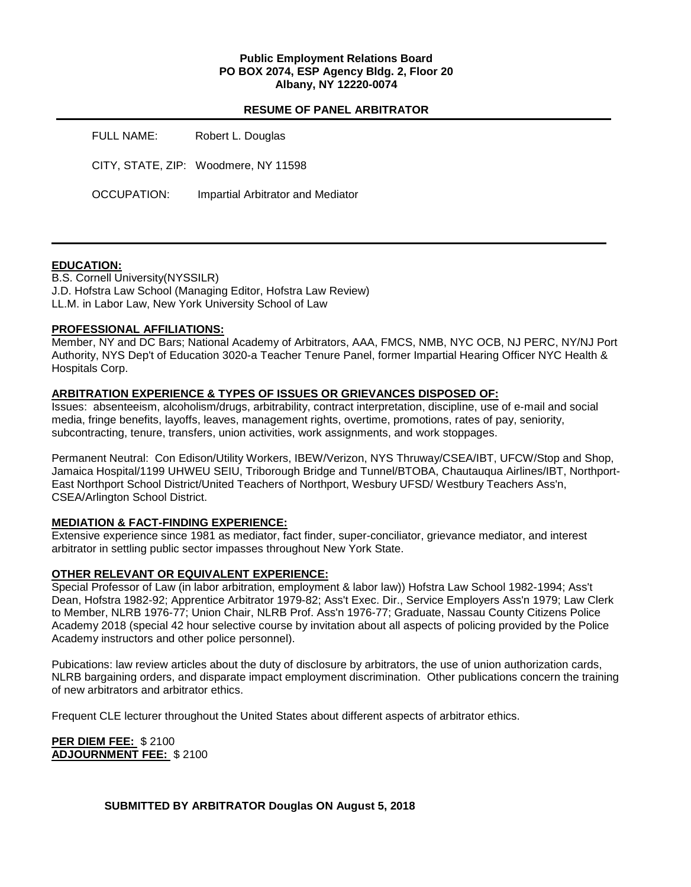## **Public Employment Relations Board PO BOX 2074, ESP Agency Bldg. 2, Floor 20 Albany, NY 12220-0074**

## **RESUME OF PANEL ARBITRATOR**

| FULL NAME:  | Robert L. Douglas                    |
|-------------|--------------------------------------|
|             | CITY, STATE, ZIP: Woodmere, NY 11598 |
| OCCUPATION: | Impartial Arbitrator and Mediator    |

## **EDUCATION:**

B.S. Cornell University(NYSSILR) J.D. Hofstra Law School (Managing Editor, Hofstra Law Review) LL.M. in Labor Law, New York University School of Law

## **PROFESSIONAL AFFILIATIONS:**

Member, NY and DC Bars; National Academy of Arbitrators, AAA, FMCS, NMB, NYC OCB, NJ PERC, NY/NJ Port Authority, NYS Dep't of Education 3020-a Teacher Tenure Panel, former Impartial Hearing Officer NYC Health & Hospitals Corp.

#### **ARBITRATION EXPERIENCE & TYPES OF ISSUES OR GRIEVANCES DISPOSED OF:**

Issues: absenteeism, alcoholism/drugs, arbitrability, contract interpretation, discipline, use of e-mail and social media, fringe benefits, layoffs, leaves, management rights, overtime, promotions, rates of pay, seniority, subcontracting, tenure, transfers, union activities, work assignments, and work stoppages.

Permanent Neutral: Con Edison/Utility Workers, IBEW/Verizon, NYS Thruway/CSEA/IBT, UFCW/Stop and Shop, Jamaica Hospital/1199 UHWEU SEIU, Triborough Bridge and Tunnel/BTOBA, Chautauqua Airlines/IBT, Northport-East Northport School District/United Teachers of Northport, Wesbury UFSD/ Westbury Teachers Ass'n, CSEA/Arlington School District.

## **MEDIATION & FACT-FINDING EXPERIENCE:**

Extensive experience since 1981 as mediator, fact finder, super-conciliator, grievance mediator, and interest arbitrator in settling public sector impasses throughout New York State.

## **OTHER RELEVANT OR EQUIVALENT EXPERIENCE:**

Special Professor of Law (in labor arbitration, employment & labor law)) Hofstra Law School 1982-1994; Ass't Dean, Hofstra 1982-92; Apprentice Arbitrator 1979-82; Ass't Exec. Dir., Service Employers Ass'n 1979; Law Clerk to Member, NLRB 1976-77; Union Chair, NLRB Prof. Ass'n 1976-77; Graduate, Nassau County Citizens Police Academy 2018 (special 42 hour selective course by invitation about all aspects of policing provided by the Police Academy instructors and other police personnel).

Pubications: law review articles about the duty of disclosure by arbitrators, the use of union authorization cards, NLRB bargaining orders, and disparate impact employment discrimination. Other publications concern the training of new arbitrators and arbitrator ethics.

Frequent CLE lecturer throughout the United States about different aspects of arbitrator ethics.

**PER DIEM FEE:** \$ 2100 **ADJOURNMENT FEE:** \$ 2100

**SUBMITTED BY ARBITRATOR Douglas ON August 5, 2018**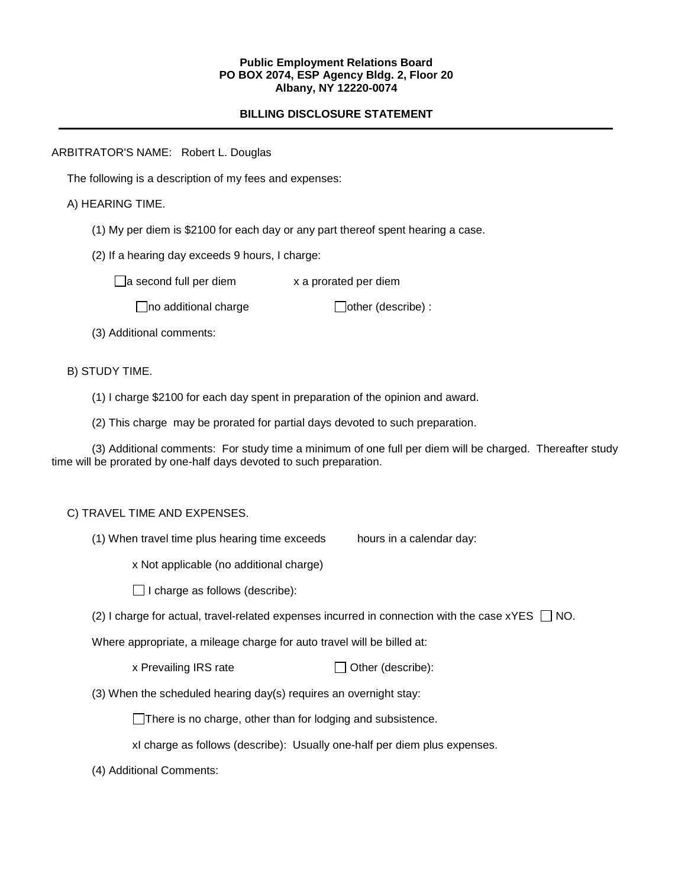#### **Public Employment Relations Board PO BOX 2074, ESP Agency Bldg. 2, Floor 20 Albany, NY 12220-0074**

## **BILLING DISCLOSURE STATEMENT**

ARBITRATOR'S NAME: Robert L. Douglas

The following is a description of my fees and expenses:

A) HEARING TIME.

(1) My per diem is \$2100 for each day or any part thereof spent hearing a case.

(2) If a hearing day exceeds 9 hours, I charge:

 $\Box$ a second full per diem  $\Box$  x a prorated per diem

 $\Box$ no additional charge  $\Box$ other (describe) :

(3) Additional comments:

B) STUDY TIME.

- (1) I charge \$2100 for each day spent in preparation of the opinion and award.
- (2) This charge may be prorated for partial days devoted to such preparation.

(3) Additional comments: For study time a minimum of one full per diem will be charged. Thereafter study time will be prorated by one-half days devoted to such preparation.

## C) TRAVEL TIME AND EXPENSES.

(1) When travel time plus hearing time exceeds hours in a calendar day:

x Not applicable (no additional charge)

 $\Box$  I charge as follows (describe):

(2) I charge for actual, travel-related expenses incurred in connection with the case  $xYES \Box NO$ .

Where appropriate, a mileage charge for auto travel will be billed at:

 $x$  Prevailing IRS rate  $\Box$  Other (describe):

(3) When the scheduled hearing day(s) requires an overnight stay:

There is no charge, other than for lodging and subsistence.

xI charge as follows (describe): Usually one-half per diem plus expenses.

(4) Additional Comments: